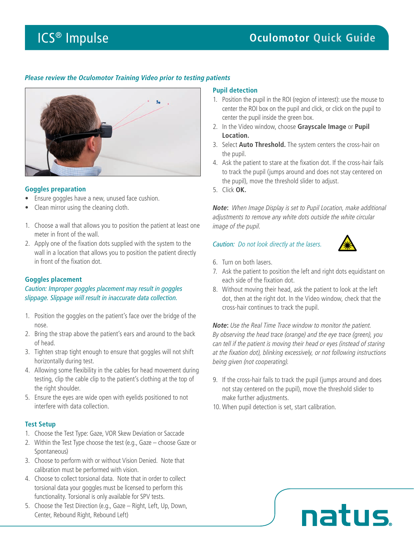# *Please review the Oculomotor Training Video prior to testing patients*



# **Goggles preparation**

- Ensure goggles have a new, unused face cushion.
- Clean mirror using the cleaning cloth.
- 1. Choose a wall that allows you to position the patient at least one meter in front of the wall.
- 2. Apply one of the fixation dots supplied with the system to the wall in a location that allows you to position the patient directly in front of the fixation dot.

# **Goggles placement**

*Caution: Improper goggles placement may result in goggles slippage. Slippage will result in inaccurate data collection.*

- 1. Position the goggles on the patient's face over the bridge of the nose.
- 2. Bring the strap above the patient's ears and around to the back of head.
- 3. Tighten strap tight enough to ensure that goggles will not shift horizontally during test.
- 4. Allowing some flexibility in the cables for head movement during testing, clip the cable clip to the patient's clothing at the top of the right shoulder.
- 5. Ensure the eyes are wide open with eyelids positioned to not interfere with data collection.

### **Test Setup**

- 1. Choose the Test Type: Gaze, VOR Skew Deviation or Saccade
- 2. Within the Test Type choose the test (e.g., Gaze choose Gaze or Spontaneous)
- 3. Choose to perform with or without Vision Denied. Note that calibration must be performed with vision.
- 4. Choose to collect torsional data. Note that in order to collect torsional data your goggles must be licensed to perform this functionality. Torsional is only available for SPV tests.
- 5. Choose the Test Direction (e.g., Gaze Right, Left, Up, Down, Center, Rebound Right, Rebound Left)

### **Pupil detection**

- 1. Position the pupil in the ROI (region of interest): use the mouse to center the ROI box on the pupil and click, or click on the pupil to center the pupil inside the green box.
- 2. In the Video window, choose **Grayscale Image** or **Pupil Location.**
- 3. Select **Auto Threshold.** The system centers the cross-hair on the pupil.
- 4. Ask the patient to stare at the fixation dot. If the cross-hair fails to track the pupil (jumps around and does not stay centered on the pupil), move the threshold slider to adjust.
- 5. Click **OK.**

*Note***:** *When Image Display is set to Pupil Location, make additional adjustments to remove any white dots outside the white circular image of the pupil.*

#### *Caution: Do not look directly at the lasers.*



- 6. Turn on both lasers.
- 7. Ask the patient to position the left and right dots equidistant on each side of the fixation dot.
- 8. Without moving their head, ask the patient to look at the left dot, then at the right dot. In the Video window, check that the cross-hair continues to track the pupil.

*Note***:** *Use the Real Time Trace window to monitor the patient. By observing the head trace (orange) and the eye trace (green), you can tell if the patient is moving their head or eyes (instead of staring at the fixation dot), blinking excessively, or not following instructions being given (not cooperating).*

- 9. If the cross-hair fails to track the pupil (jumps around and does not stay centered on the pupil), move the threshold slider to make further adjustments.
- 10. When pupil detection is set, start calibration.